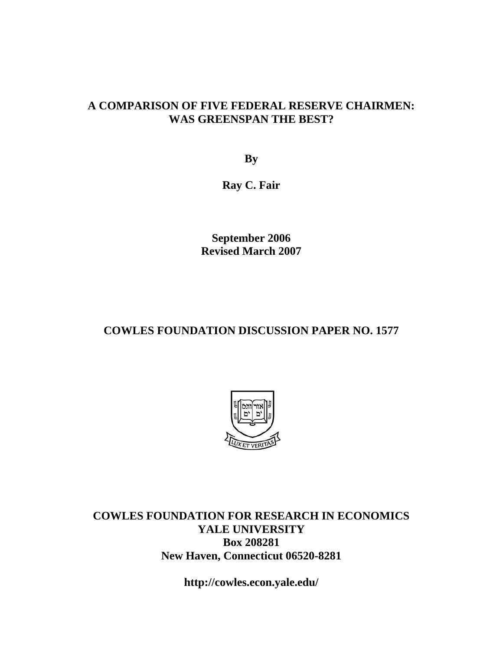# **A COMPARISON OF FIVE FEDERAL RESERVE CHAIRMEN: WAS GREENSPAN THE BEST?**

**By** 

**Ray C. Fair** 

**September 2006 Revised March 2007** 

# **COWLES FOUNDATION DISCUSSION PAPER NO. 1577**



**COWLES FOUNDATION FOR RESEARCH IN ECONOMICS YALE UNIVERSITY Box 208281 New Haven, Connecticut 06520-8281** 

**http://cowles.econ.yale.edu/**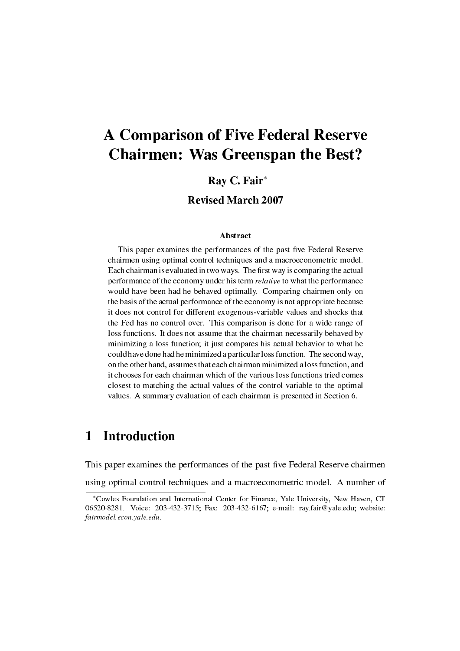# A Comparison of Five Federal Reserve Chairmen: Was Greenspan the Best?

### Ray C. Fair*<sup>∗</sup>*

### Revised March 2007

#### Abstract

This paper examines the performances of the past five Federal Reserve chairmen using optimal control techniques and a macroeconometric model. Each chairman is evaluated in two ways. The first way is comparing the actual performance of the economy under his term relative to what the performance would have been had he behaved optimally. Comparing chairmen only on the basis of the actual performance of the economy is not appropriate because it does not control for different exogenous-variable values and shocks that the Fed has no control over. This comparison is done for a wide range of loss functions. It does not assume that the chairman necessarily behaved by minimizing a loss function; it just compares his actual behavior to what he could have done had he minimized a particular loss function. The second way, on the other hand, assumes that each chairman minimized a loss function, and it chooses for each chairman which of the various loss functions tried comes closest to matching the actual values of the control variable to the optimal values. A summary evaluation of each chairman is presented in Section 6.

# 1 Introduction

This paper examines the performances of the past five Federal Reserve chairmen

using optimal control techniques and a macroeconometric model. A number of

*<sup>∗</sup>*Cowles Foundation and International Center for Finance, Yale University, New Haven, CT 06520-8281. Voice: 203-432-3715; Fax: 203-432-6167; e-mail: ray.fair@yale.edu; website: fairmodel.econ.yale.edu.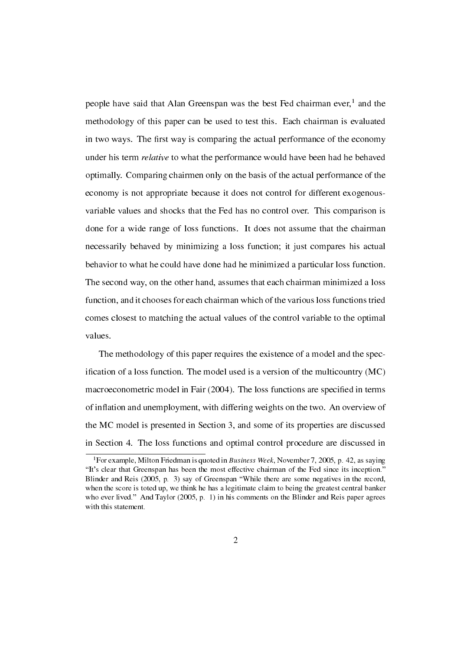people have said that Alan Greenspan was the best Fed chairman ever,<sup>1</sup> and the methodology of this paper can be used to test this. Each chairman is evaluated in two ways. The first way is comparing the actual performance of the economy under his term *relative* to what the performance would have been had he behaved optimally. Comparing chairmen only on the basis of the actual performance of the economy is not appropriate because it does not control for different exogenousvariable values and shocks that the Fed has no control over. This comparison is done for a wide range of loss functions. It does not assume that the chairman necessarily behaved by minimizing a loss function; it just compares his actual behavior to what he could have done had he minimized a particular loss function. The second way, on the other hand, assumes that each chairman minimized a loss function, and it chooses for each chairman which of the various loss functions tried comes closest to matching the actual values of the control variable to the optimal values.

The methodology of this paper requires the existence of a model and the specification of a loss function. The model used is a version of the multicountry  $(MC)$ macroeconometric model in Fair (2004). The loss functions are specified in terms of inflation and unemployment, with differing weights on the two. An overview of the MC model is presented in Section 3, and some of its properties are discussed in Section 4. The loss functions and optimal control procedure are discussed in

<sup>&</sup>lt;sup>1</sup>For example, Milton Friedman is quoted in *Business Week*, November 7, 2005, p. 42, as saying "It's clear that Greenspan has been the most effective chairman of the Fed since its inception." Blinder and Reis (2005, p. 3) say of Greenspan While there are some negatives in the record, when the score is toted up, we think he has a legitimate claim to being the greatest central banker who ever lived." And Taylor  $(2005, p. 1)$  in his comments on the Blinder and Reis paper agrees with this statement.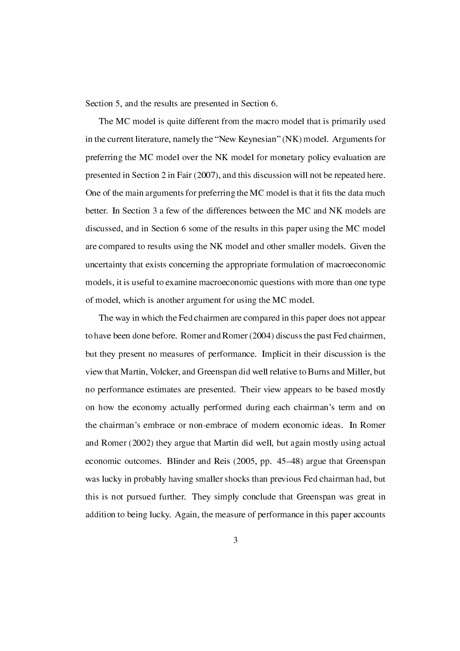Section 5, and the results are presented in Section 6.

The MC model is quite different from the macro model that is primarily used in the current literature, namely the "New Keynesian"  $(NK)$  model. Arguments for preferring the MC model over the NK model for monetary policy evaluation are presented in Section 2 in Fair (2007), and this discussion will not be repeated here. One of the main arguments for preferring the MC model is that it fits the data much better. In Section 3 a few of the differences between the MC and NK models are discussed, and in Section 6 some of the results in this paper using the MC model are compared to results using the NK model and other smaller models. Given the uncertainty that exists concerning the appropriate formulation of macroeconomic models, it is useful to examine macroeconomic questions with more than one type of model, which is another argument for using the MC model.

The way in which the Fed chairmen are compared in this paper does not appear to have been done before. Romer and Romer (2004) discuss the past Fed chairmen, but they present no measures of performance. Implicit in their discussion is the view that Martin, Volcker, and Greenspan did well relative to Burns and Miller, but no performance estimates are presented. Their view appears to be based mostly on how the economy actually performed during each chairman's term and on the chairman's embrace or non-embrace of modern economic ideas. In Romer and Romer (2002) they argue that Martin did well, but again mostly using actual economic outcomes. Blinder and Reis (2005, pp. 45–48) argue that Greenspan was lucky in probably having smaller shocks than previous Fed chairman had, but this is not pursued further. They simply conclude that Greenspan was great in addition to being lucky. Again, the measure of performance in this paper accounts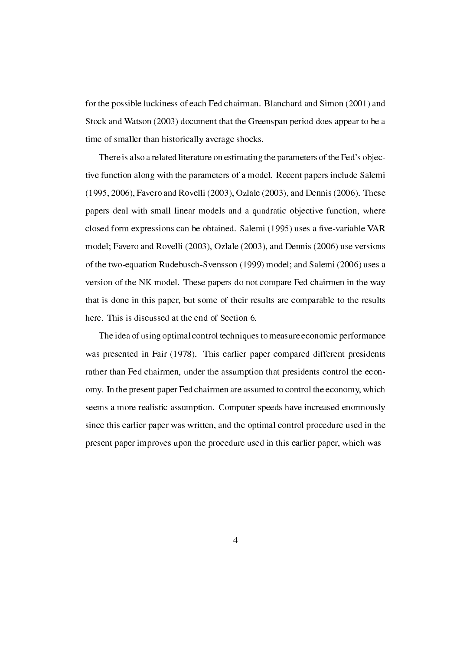for the possible luckiness of each Fed chairman. Blanchard and Simon (2001) and Stock and Watson (2003) document that the Greenspan period does appear to be a time of smaller than historically average shocks.

There is also a related literature on estimating the parameters of the Fed's objective function along with the parameters of a model. Recent papers include Salemi (1995, 2006), Favero and Rovelli (2003), Ozlale (2003), and Dennis (2006). These papers deal with small linear models and a quadratic objective function, where closed form expressions can be obtained. Salemi (1995) uses a five-variable VAR model; Favero and Rovelli (2003), Ozlale (2003), and Dennis (2006) use versions of the two-equation Rudebusch-Svensson (1999) model; and Salemi (2006) uses a version of the NK model. These papers do not compare Fed chairmen in the way that is done in this paper, but some of their results are comparable to the results here. This is discussed at the end of Section 6.

The idea of using optimal control techniques to measure economic performance was presented in Fair (1978). This earlier paper compared different presidents rather than Fed chairmen, under the assumption that presidents control the economy. In the present paper Fed chairmen are assumed to control the economy, which seems a more realistic assumption. Computer speeds have increased enormously since this earlier paper was written, and the optimal control procedure used in the present paper improves upon the procedure used in this earlier paper, which was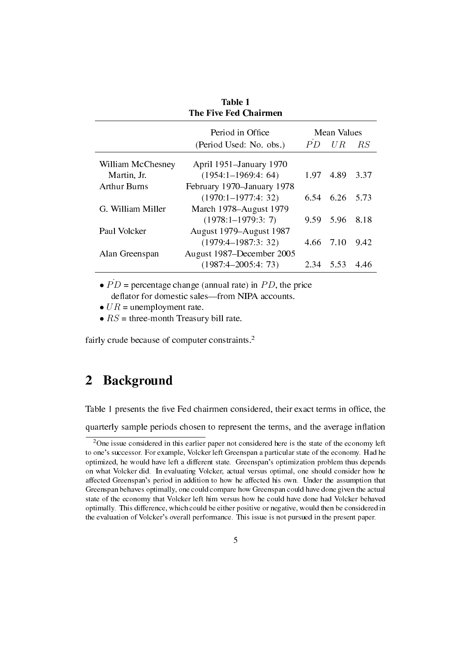| The Five Fed Chairmen |                            |             |      |      |  |  |
|-----------------------|----------------------------|-------------|------|------|--|--|
|                       | Period in Office           | Mean Values |      |      |  |  |
|                       | (Period Used: No. obs.)    | PD          | U R  | R.S  |  |  |
| William McChesney     | April 1951–January 1970    |             |      |      |  |  |
| Martin, Jr.           | $(1954:1-1969:4:64)$       | 1.97        | 4.89 | 3.37 |  |  |
| <b>Arthur Burns</b>   | February 1970–January 1978 |             |      |      |  |  |
|                       | $(1970:1-1977:4:32)$       | 6.54        | 6.26 | 5.73 |  |  |
| G. William Miller     | March 1978–August 1979     |             |      |      |  |  |
|                       | $(1978:1-1979:3:7)$        | 9.59        | 5.96 | 8.18 |  |  |
| Paul Volcker          | August 1979–August 1987    |             |      |      |  |  |
|                       | (1979:4–1987:3:32)         | 4.66        | 7.10 | 9.42 |  |  |
| Alan Greenspan        | August 1987–December 2005  |             |      |      |  |  |
|                       | $(1987:4-2005:4:73)$       | 2.34        | 5.53 | 4.46 |  |  |

Table 1

•  $\vec{PD}$  = percentage change (annual rate) in *PD*, the price deflator for domestic sales-from NIPA accounts.

- $UR =$  unemployment rate.
- $RS$  = three-month Treasury bill rate.

fairly crude because of computer constraints.<sup>2</sup>

# 2 Background

Table 1 presents the five Fed chairmen considered, their exact terms in office, the

quarterly sample periods chosen to represent the terms, and the average inflation

<sup>&</sup>lt;sup>2</sup>One issue considered in this earlier paper not considered here is the state of the economy left to one's successor. For example, Volcker left Greenspan a particular state of the economy. Had he optimized, he would have left a different state. Greenspan's optimization problem thus depends on what Volcker did. In evaluating Volcker, actual versus optimal, one should consider how he affected Greenspan's period in addition to how he affected his own. Under the assumption that Greenspan behaves optimally, one could compare how Greenspan could have done given the actual state of the economy that Volcker left him versus how he could have done had Volcker behaved optimally. This difference, which could be either positive or negative, would then be considered in the evaluation of Volcker's overall performance. This issue is not pursued in the present paper.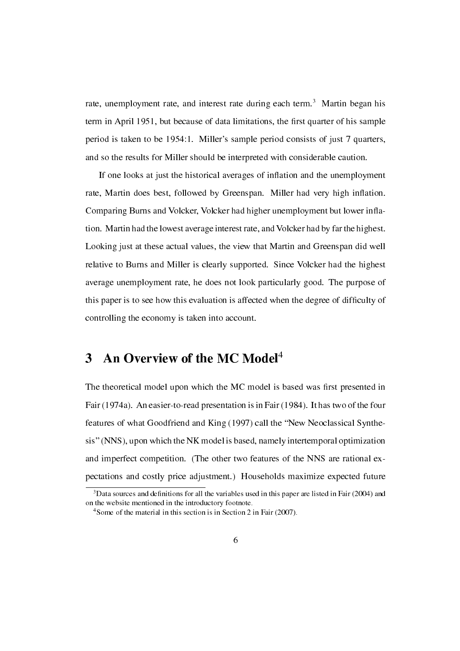rate, unemployment rate, and interest rate during each term.<sup>3</sup> Martin began his term in April 1951, but because of data limitations, the first quarter of his sample period is taken to be 1954:1. Miller's sample period consists of just 7 quarters, and so the results for Miller should be interpreted with considerable caution.

If one looks at just the historical averages of inflation and the unemployment rate, Martin does best, followed by Greenspan. Miller had very high inflation. Comparing Burns and Volcker, Volcker had higher unemployment but lower inflation. Martin had the lowest average interest rate, and Volcker had by far the highest. Looking just at these actual values, the view that Martin and Greenspan did well relative to Burns and Miller is clearly supported. Since Volcker had the highest average unemployment rate, he does not look particularly good. The purpose of this paper is to see how this evaluation is affected when the degree of difculty of controlling the economy is taken into account.

# 3 An Overview of the MC Model<sup>4</sup>

The theoretical model upon which the MC model is based was first presented in Fair (1974a). An easier-to-read presentation is in Fair (1984). It has two of the four features of what Goodfriend and King (1997) call the "New Neoclassical Synthesis" (NNS), upon which the NK model is based, namely intertemporal optimization and imperfect competition. (The other two features of the NNS are rational expectations and costly price adjustment.) Households maximize expected future

 $3$ Data sources and definitions for all the variables used in this paper are listed in Fair (2004) and on the website mentioned in the introductory footnote.

<sup>&</sup>lt;sup>4</sup> Some of the material in this section is in Section 2 in Fair (2007).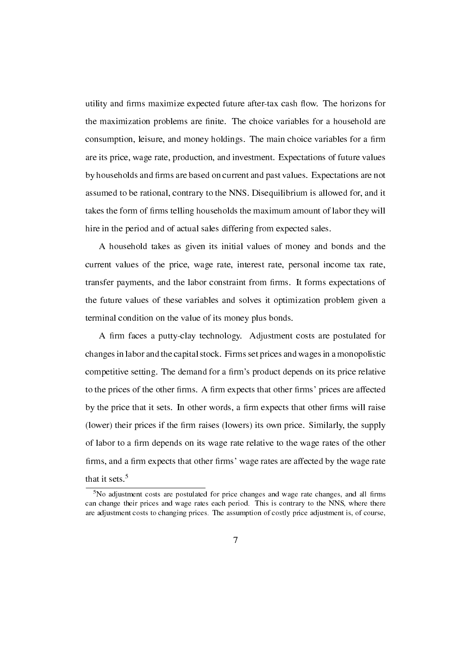utility and firms maximize expected future after-tax cash flow. The horizons for the maximization problems are finite. The choice variables for a household are consumption, leisure, and money holdings. The main choice variables for a firm are its price, wage rate, production, and investment. Expectations of future values by households and firms are based on current and past values. Expectations are not assumed to be rational, contrary to the NNS. Disequilibrium is allowed for, and it takes the form of firms telling households the maximum amount of labor they will hire in the period and of actual sales differing from expected sales.

A household takes as given its initial values of money and bonds and the current values of the price, wage rate, interest rate, personal income tax rate, transfer payments, and the labor constraint from firms. It forms expectations of the future values of these variables and solves it optimization problem given a terminal condition on the value of its money plus bonds.

A firm faces a putty-clay technology. Adjustment costs are postulated for changes in labor and the capital stock. Firms set prices and wages in a monopolistic competitive setting. The demand for a firm's product depends on its price relative to the prices of the other firms. A firm expects that other firms' prices are affected by the price that it sets. In other words, a firm expects that other firms will raise (lower) their prices if the firm raises (lowers) its own price. Similarly, the supply of labor to a firm depends on its wage rate relative to the wage rates of the other firms, and a firm expects that other firms' wage rates are affected by the wage rate that it sets.<sup>5</sup>

<sup>&</sup>lt;sup>5</sup>No adjustment costs are postulated for price changes and wage rate changes, and all firms can change their prices and wage rates each period. This is contrary to the NNS, where there are adjustment costs to changing prices. The assumption of costly price adjustment is, of course,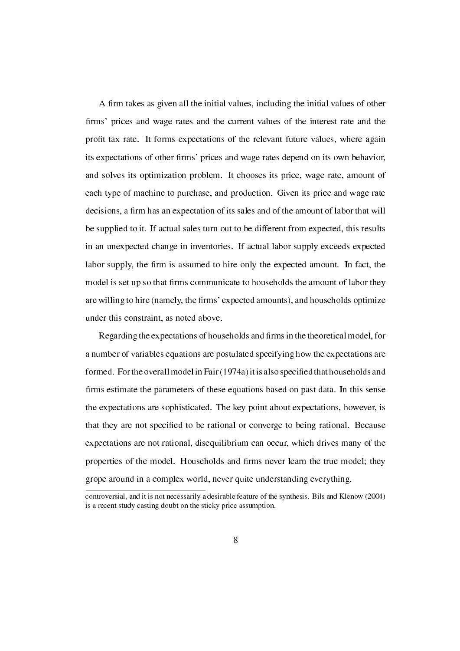A firm takes as given all the initial values, including the initial values of other firms' prices and wage rates and the current values of the interest rate and the profit tax rate. It forms expectations of the relevant future values, where again its expectations of other firms' prices and wage rates depend on its own behavior, and solves its optimization problem. It chooses its price, wage rate, amount of each type of machine to purchase, and production. Given its price and wage rate decisions, a firm has an expectation of its sales and of the amount of labor that will be supplied to it. If actual sales turn out to be different from expected, this results in an unexpected change in inventories. If actual labor supply exceeds expected labor supply, the firm is assumed to hire only the expected amount. In fact, the model is set up so that firms communicate to households the amount of labor they are willing to hire (namely, the firms' expected amounts), and households optimize under this constraint, as noted above.

Regarding the expectations of households and firms in the theoretical model, for a number of variables equations are postulated specifying how the expectations are formed. For the overall model in Fair (1974a) it is also specied that households and firms estimate the parameters of these equations based on past data. In this sense the expectations are sophisticated. The key point about expectations, however, is that they are not specied to be rational or converge to being rational. Because expectations are not rational, disequilibrium can occur, which drives many of the properties of the model. Households and firms never learn the true model; they grope around in a complex world, never quite understanding everything.

controversial, and it is not necessarily a desirable feature of the synthesis. Bils and Klenow (2004) is a recent study casting doubt on the sticky price assumption.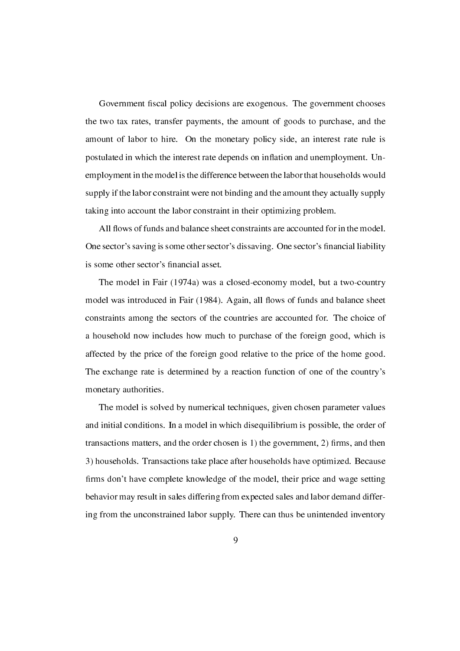Government fiscal policy decisions are exogenous. The government chooses the two tax rates, transfer payments, the amount of goods to purchase, and the amount of labor to hire. On the monetary policy side, an interest rate rule is postulated in which the interest rate depends on inflation and unemployment. Unemployment in the model is the difference between the labor that households would supply if the labor constraint were not binding and the amount they actually supply taking into account the labor constraint in their optimizing problem.

All flows of funds and balance sheet constraints are accounted for in the model. One sector's saving is some other sector's dissaving. One sector's financial liability is some other sector's financial asset.

The model in Fair (1974a) was a closed-economy model, but a two-country model was introduced in Fair (1984). Again, all flows of funds and balance sheet constraints among the sectors of the countries are accounted for. The choice of a household now includes how much to purchase of the foreign good, which is affected by the price of the foreign good relative to the price of the home good. The exchange rate is determined by a reaction function of one of the country's monetary authorities.

The model is solved by numerical techniques, given chosen parameter values and initial conditions. In a model in which disequilibrium is possible, the order of transactions matters, and the order chosen is  $1$ ) the government,  $2$ ) firms, and then 3) households. Transactions take place after households have optimized. Because firms don't have complete knowledge of the model, their price and wage setting behavior may result in sales differing from expected sales and labor demand differing from the unconstrained labor supply. There can thus be unintended inventory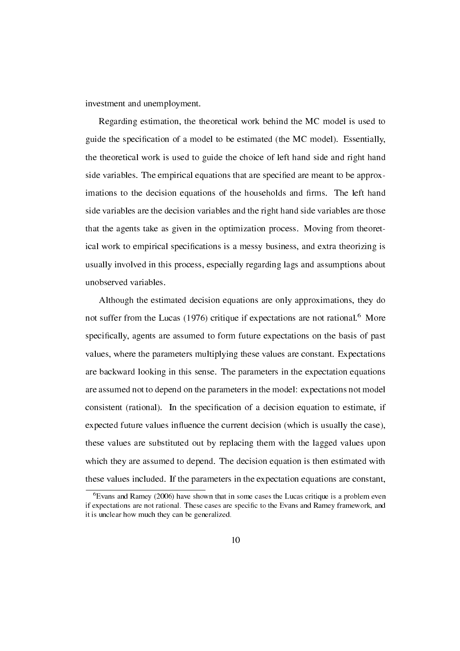investment and unemployment.

Regarding estimation, the theoretical work behind the MC model is used to guide the specication of a model to be estimated (the MC model). Essentially, the theoretical work is used to guide the choice of left hand side and right hand side variables. The empirical equations that are specied are meant to be approximations to the decision equations of the households and firms. The left hand side variables are the decision variables and the right hand side variables are those that the agents take as given in the optimization process. Moving from theoretical work to empirical specifications is a messy business, and extra theorizing is usually involved in this process, especially regarding lags and assumptions about unobserved variables.

Although the estimated decision equations are only approximations, they do not suffer from the Lucas (1976) critique if expectations are not rational.<sup>6</sup> More specifically, agents are assumed to form future expectations on the basis of past values, where the parameters multiplying these values are constant. Expectations are backward looking in this sense. The parameters in the expectation equations are assumed not to depend on the parameters in the model: expectations not model consistent (rational). In the specication of a decision equation to estimate, if expected future values influence the current decision (which is usually the case), these values are substituted out by replacing them with the lagged values upon which they are assumed to depend. The decision equation is then estimated with these values included. If the parameters in the expectation equations are constant,

 $6$ Evans and Ramey (2006) have shown that in some cases the Lucas critique is a problem even if expectations are not rational. These cases are specific to the Evans and Ramey framework, and it is unclear how much they can be generalized.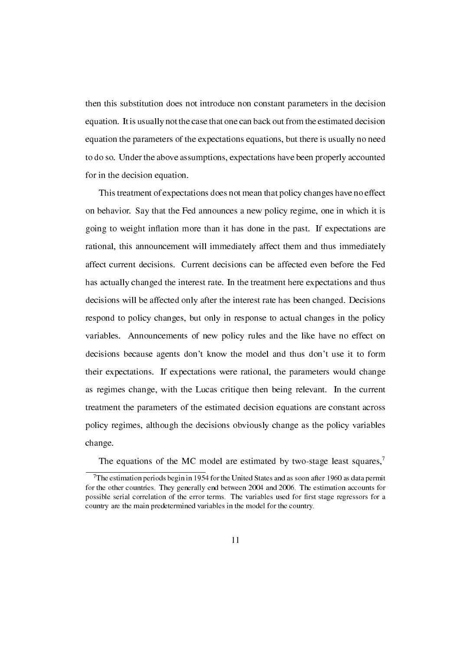then this substitution does not introduce non constant parameters in the decision equation. It is usually not the case that one can back out from the estimated decision equation the parameters of the expectations equations, but there is usually no need to do so. Under the above assumptions, expectations have been properly accounted for in the decision equation.

This treatment of expectations does not mean that policy changes have no effect on behavior. Say that the Fed announces a new policy regime, one in which it is going to weight inflation more than it has done in the past. If expectations are rational, this announcement will immediately affect them and thus immediately affect current decisions. Current decisions can be affected even before the Fed has actually changed the interest rate. In the treatment here expectations and thus decisions will be affected only after the interest rate has been changed. Decisions respond to policy changes, but only in response to actual changes in the policy variables. Announcements of new policy rules and the like have no effect on decisions because agents don't know the model and thus don't use it to form their expectations. If expectations were rational, the parameters would change as regimes change, with the Lucas critique then being relevant. In the current treatment the parameters of the estimated decision equations are constant across policy regimes, although the decisions obviously change as the policy variables change.

The equations of the MC model are estimated by two-stage least squares,<sup>7</sup>

 $7$ The estimation periods begin in 1954 for the United States and as soon after 1960 as data permit for the other countries. They generally end between 2004 and 2006. The estimation accounts for possible serial correlation of the error terms. The variables used for first stage regressors for a country are the main predetermined variables in the model for the country.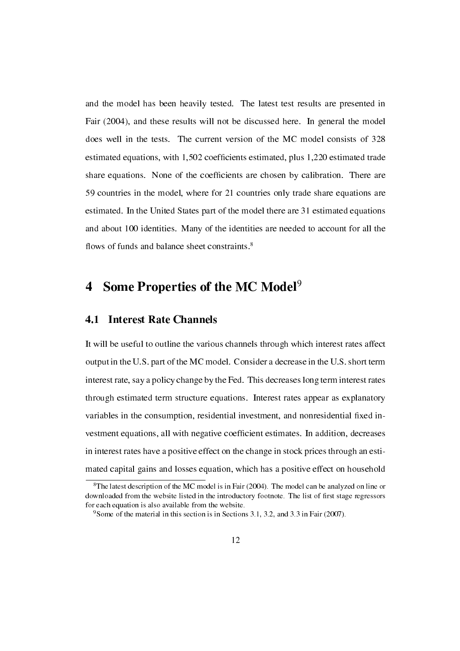and the model has been heavily tested. The latest test results are presented in Fair (2004), and these results will not be discussed here. In general the model does well in the tests. The current version of the MC model consists of 328 estimated equations, with 1,502 coefficients estimated, plus 1,220 estimated trade share equations. None of the coefficients are chosen by calibration. There are 59 countries in the model, where for 21 countries only trade share equations are estimated. In the United States part of the model there are 31 estimated equations and about 100 identities. Many of the identities are needed to account for all the flows of funds and balance sheet constraints. $8$ 

# 4 Some Properties of the MC Model<sup>9</sup>

### 4.1 Interest Rate Channels

It will be useful to outline the various channels through which interest rates affect output in the U.S. part of the MC model. Consider a decrease in the U.S. short term interest rate, say a policy change by the Fed. This decreases long term interest rates through estimated term structure equations. Interest rates appear as explanatory variables in the consumption, residential investment, and nonresidential fixed investment equations, all with negative coefficient estimates. In addition, decreases in interest rates have a positive effect on the change in stock prices through an estimated capital gains and losses equation, which has a positive effect on household

<sup>8</sup>The latest description of the MC model is in Fair (2004). The model can be analyzed on line or downloaded from the website listed in the introductory footnote. The list of first stage regressors for each equation is also available from the website.

<sup>&</sup>lt;sup>9</sup>Some of the material in this section is in Sections 3.1, 3.2, and 3.3 in Fair (2007).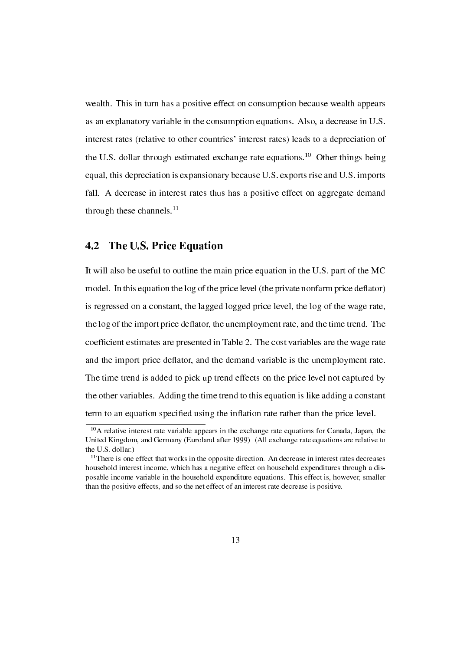wealth. This in turn has a positive effect on consumption because wealth appears as an explanatory variable in the consumption equations. Also, a decrease in U.S. interest rates (relative to other countries' interest rates) leads to a depreciation of the U.S. dollar through estimated exchange rate equations.<sup>10</sup> Other things being equal, this depreciation is expansionary because U.S. exports rise and U.S. imports fall. A decrease in interest rates thus has a positive effect on aggregate demand through these channels. $^{11}$ 

### 4.2 The U.S. Price Equation

It will also be useful to outline the main price equation in the U.S. part of the MC model. In this equation the log of the price level (the private nonfarm price deflator) is regressed on a constant, the lagged logged price level, the log of the wage rate, the log of the import price deflator, the unemployment rate, and the time trend. The coefficient estimates are presented in Table 2. The cost variables are the wage rate and the import price deflator, and the demand variable is the unemployment rate. The time trend is added to pick up trend effects on the price level not captured by the other variables. Adding the time trend to this equation is like adding a constant term to an equation specified using the inflation rate rather than the price level.

<sup>&</sup>lt;sup>10</sup>A relative interest rate variable appears in the exchange rate equations for Canada, Japan, the United Kingdom, and Germany (Euroland after 1999). (All exchange rate equations are relative to the U.S. dollar.)

 $11$ There is one effect that works in the opposite direction. An decrease in interest rates decreases household interest income, which has a negative effect on household expenditures through a disposable income variable in the household expenditure equations. This effect is, however, smaller than the positive effects, and so the net effect of an interest rate decrease is positive.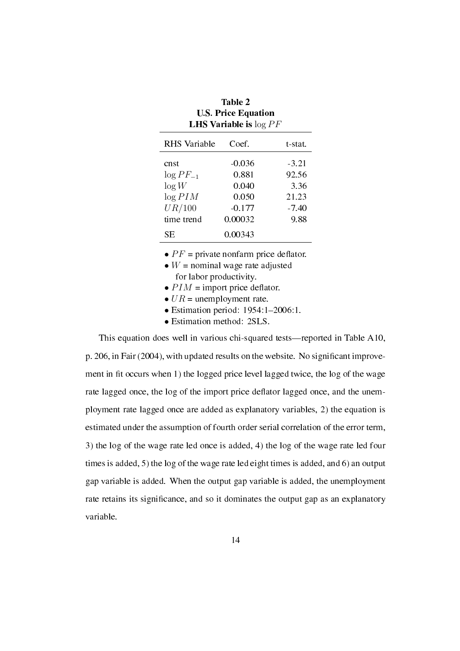| $\sim$ $\sim$ $\sim$ $\sim$ $\sim$ $\sim$ $\sim$ |          |         |  |  |  |
|--------------------------------------------------|----------|---------|--|--|--|
| <b>RHS</b> Variable                              | Coef.    | t-stat. |  |  |  |
| cnst                                             | $-0.036$ | $-3.21$ |  |  |  |
| $\log PF_{-1}$                                   | 0.881    | 92.56   |  |  |  |
| $\log W$                                         | 0.040    | 3.36    |  |  |  |
| $\log PIM$                                       | 0.050    | 21.23   |  |  |  |
| UR/100                                           | $-0.177$ | $-7.40$ |  |  |  |
| time trend                                       | 0.00032  | 9.88    |  |  |  |
| SЕ                                               | 0.00343  |         |  |  |  |

Table 2 U.S. Price Equation LHS Variable is log *P F*

•  $PF$  = private nonfarm price deflator.

•  $W =$  nominal wage rate adjusted for labor productivity.

•  $PIM$  = import price deflator.

•  $UR =$  unemployment rate.

• Estimation period: 1954:1-2006:1.

*•* Estimation method: 2SLS.

This equation does well in various chi-squared tests—reported in Table A10, p. 206, in Fair (2004), with updated results on the website. No signicant improvement in fit occurs when 1) the logged price level lagged twice, the log of the wage rate lagged once, the log of the import price deflator lagged once, and the unemployment rate lagged once are added as explanatory variables, 2) the equation is estimated under the assumption of fourth order serial correlation of the error term, 3) the log of the wage rate led once is added, 4) the log of the wage rate led four times is added, 5) the log of the wage rate led eight times is added, and 6) an output gap variable is added. When the output gap variable is added, the unemployment rate retains its signicance, and so it dominates the output gap as an explanatory variable.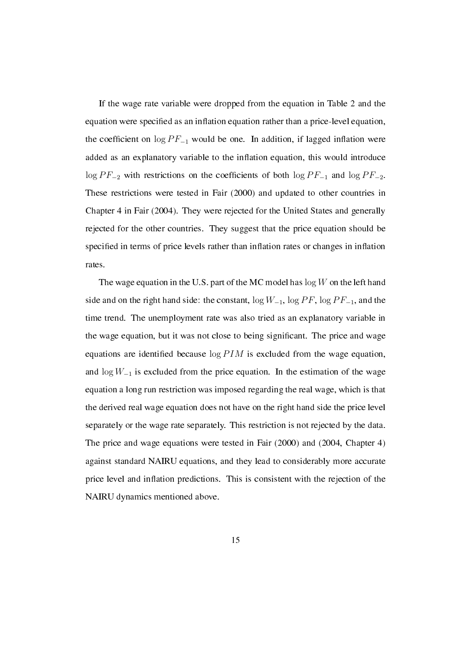If the wage rate variable were dropped from the equation in Table 2 and the equation were specified as an inflation equation rather than a price-level equation, the coefficient on  $\log PF_{-1}$  would be one. In addition, if lagged inflation were added as an explanatory variable to the inflation equation, this would introduce  $\log PF_{-2}$  with restrictions on the coefficients of both  $\log PF_{-1}$  and  $\log PF_{-2}$ . These restrictions were tested in Fair (2000) and updated to other countries in Chapter 4 in Fair (2004). They were rejected for the United States and generally rejected for the other countries. They suggest that the price equation should be specified in terms of price levels rather than inflation rates or changes in inflation rates.

The wage equation in the U.S. part of the MC model has log *W* on the left hand side and on the right hand side: the constant, log *W−*<sup>1</sup>, log *P F*, log *P F−*<sup>1</sup>, and the time trend. The unemployment rate was also tried as an explanatory variable in the wage equation, but it was not close to being signicant. The price and wage equations are identified because  $\log PIM$  is excluded from the wage equation, and log *W−*<sup>1</sup> is excluded from the price equation. In the estimation of the wage equation a long run restriction was imposed regarding the real wage, which is that the derived real wage equation does not have on the right hand side the price level separately or the wage rate separately. This restriction is not rejected by the data. The price and wage equations were tested in Fair (2000) and (2004, Chapter 4) against standard NAIRU equations, and they lead to considerably more accurate price level and inflation predictions. This is consistent with the rejection of the NAIRU dynamics mentioned above.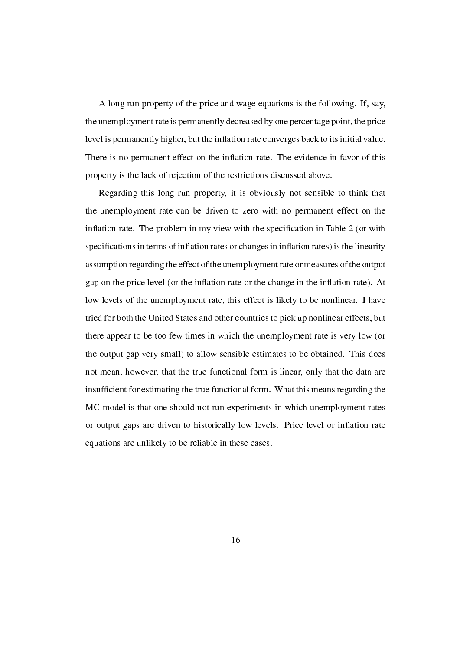A long run property of the price and wage equations is the following. If, say, the unemployment rate is permanently decreased by one percentage point, the price level is permanently higher, but the inflation rate converges back to its initial value. There is no permanent effect on the inflation rate. The evidence in favor of this property is the lack of rejection of the restrictions discussed above.

Regarding this long run property, it is obviously not sensible to think that the unemployment rate can be driven to zero with no permanent effect on the inflation rate. The problem in my view with the specification in Table  $2$  (or with specifications in terms of inflation rates or changes in inflation rates) is the linearity assumption regarding the effect of the unemployment rate or measures of the output gap on the price level (or the inflation rate or the change in the inflation rate). At low levels of the unemployment rate, this effect is likely to be nonlinear. I have tried for both the United States and other countries to pick up nonlinear effects, but there appear to be too few times in which the unemployment rate is very low (or the output gap very small) to allow sensible estimates to be obtained. This does not mean, however, that the true functional form is linear, only that the data are insufficient for estimating the true functional form. What this means regarding the MC model is that one should not run experiments in which unemployment rates or output gaps are driven to historically low levels. Price-level or inflation-rate equations are unlikely to be reliable in these cases.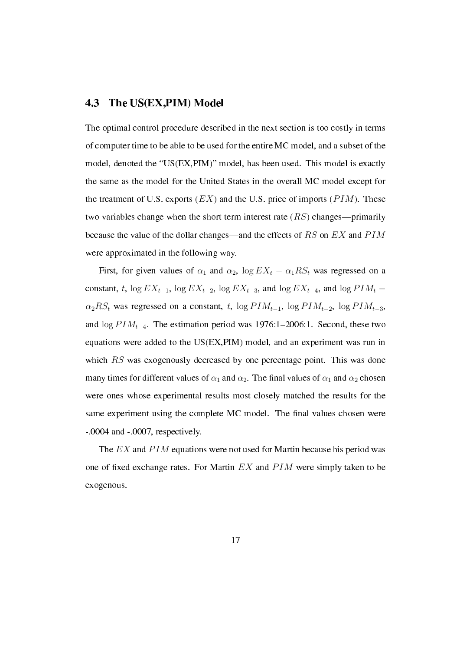### 4.3 The US(EX,PIM) Model

The optimal control procedure described in the next section is too costly in terms of computer time to be able to be used for the entire MC model, and a subset of the model, denoted the "US(EX,PIM)" model, has been used. This model is exactly the same as the model for the United States in the overall MC model except for the treatment of U.S. exports (*EX*) and the U.S. price of imports (*P IM*). These two variables change when the short term interest rate  $(RS)$  changes—primarily because the value of the dollar changes—and the effects of *RS* on *EX* and *PIM* were approximated in the following way.

First, for given values of  $\alpha_1$  and  $\alpha_2$ ,  $\log EX_t - \alpha_1 RS_t$  was regressed on a constant, *t*,  $\log EX_{t-1}$ ,  $\log EX_{t-2}$ ,  $\log EX_{t-3}$ , and  $\log EX_{t-4}$ , and  $\log PIM_t$  –  $\alpha_2 R S_t$  was regressed on a constant, *t*, log  $P I M_{t-1}$ , log  $P I M_{t-2}$ , log  $P I M_{t-3}$ , and log *PIM*<sub>*t*−4</sub>. The estimation period was 1976:1–2006:1. Second, these two equations were added to the US(EX,PIM) model, and an experiment was run in which *RS* was exogenously decreased by one percentage point. This was done many times for different values of  $\alpha_1$  and  $\alpha_2$ . The final values of  $\alpha_1$  and  $\alpha_2$  chosen were ones whose experimental results most closely matched the results for the same experiment using the complete MC model. The final values chosen were -.0004 and -.0007, respectively.

The *EX* and *PIM* equations were not used for Martin because his period was one of fixed exchange rates. For Martin *EX* and *PIM* were simply taken to be exogenous.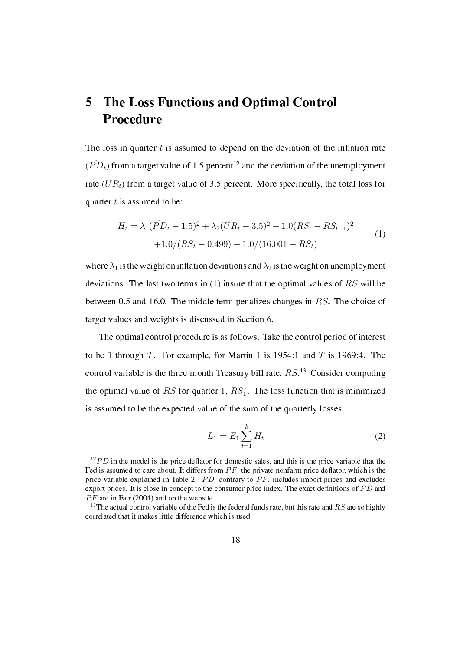# 5 The Loss Functions and Optimal Control Procedure

The loss in quarter  $t$  is assumed to depend on the deviation of the inflation rate  $(\dot{PD}_t)$  from a target value of 1.5 percent<sup>12</sup> and the deviation of the unemployment rate  $(UR_t)$  from a target value of 3.5 percent. More specifically, the total loss for quarter *t* is assumed to be:

$$
H_t = \lambda_1 (\dot{PD}_t - 1.5)^2 + \lambda_2 (UR_t - 3.5)^2 + 1.0(RS_t - RS_{t-1})^2
$$
  
+1.0/(RS\_t - 0.499) + 1.0/(16.001 - RS\_t) (1)

where  $\lambda_1$  is the weight on inflation deviations and  $\lambda_2$  is the weight on unemployment deviations. The last two terms in (1) insure that the optimal values of *RS* will be between 0.5 and 16.0. The middle term penalizes changes in *RS*. The choice of target values and weights is discussed in Section 6.

The optimal control procedure is as follows. Take the control period of interest to be 1 through *T*. For example, for Martin 1 is 1954:1 and *T* is 1969:4. The control variable is the three-month Treasury bill rate, *RS*. <sup>13</sup> Consider computing the optimal value of *RS* for quarter 1, *RS<sup>∗</sup>* 1 . The loss function that is minimized is assumed to be the expected value of the sum of the quarterly losses:

$$
L_1 = E_1 \sum_{t=1}^{k} H_t
$$
 (2)

 $12PD$  in the model is the price deflator for domestic sales, and this is the price variable that the Fed is assumed to care about. It differs from PF, the private nonfarm price deflator, which is the price variable explained in Table 2. *P D*, contrary to *P F*, includes import prices and excludes export prices. It is close in concept to the consumer price index. The exact denitions of *P D* and *PF* are in Fair (2004) and on the website.

<sup>13</sup>The actual control variable of the Fed is the federal funds rate, but this rate and *RS* are so highly correlated that it makes little difference which is used.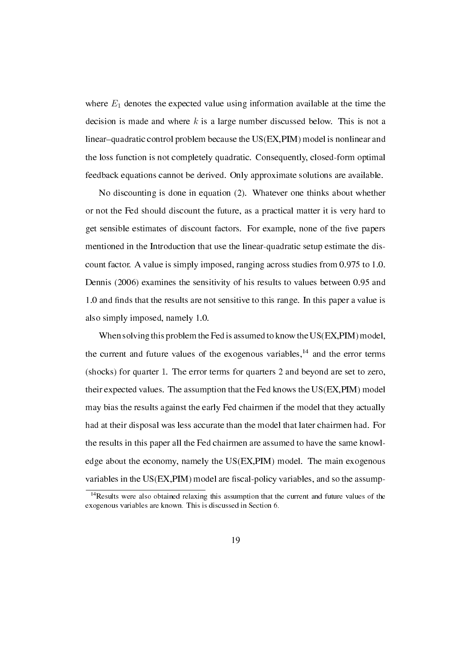where  $E_1$  denotes the expected value using information available at the time the decision is made and where *k* is a large number discussed below. This is not a linear-quadratic control problem because the  $US(EX, PIM)$  model is nonlinear and the loss function is not completely quadratic. Consequently, closed-form optimal feedback equations cannot be derived. Only approximate solutions are available.

No discounting is done in equation (2). Whatever one thinks about whether or not the Fed should discount the future, as a practical matter it is very hard to get sensible estimates of discount factors. For example, none of the five papers mentioned in the Introduction that use the linear-quadratic setup estimate the discount factor. A value is simply imposed, ranging across studies from 0.975 to 1.0. Dennis (2006) examines the sensitivity of his results to values between 0.95 and 1.0 and finds that the results are not sensitive to this range. In this paper a value is also simply imposed, namely 1.0.

When solving this problem the Fed is assumed to know the US(EX,PIM) model, the current and future values of the exogenous variables,<sup>14</sup> and the error terms (shocks) for quarter 1. The error terms for quarters 2 and beyond are set to zero, their expected values. The assumption that the Fed knows the US(EX,PIM) model may bias the results against the early Fed chairmen if the model that they actually had at their disposal was less accurate than the model that later chairmen had. For the results in this paper all the Fed chairmen are assumed to have the same knowledge about the economy, namely the US(EX,PIM) model. The main exogenous variables in the  $US(EX, PIM)$  model are fiscal-policy variables, and so the assump-

 $14$ Results were also obtained relaxing this assumption that the current and future values of the exogenous variables are known. This is discussed in Section 6.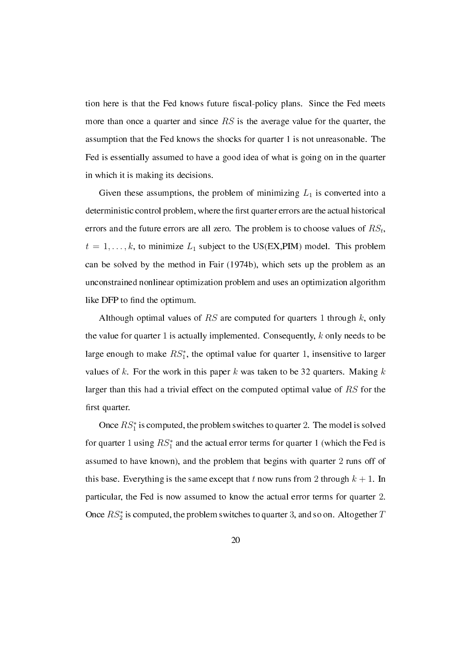tion here is that the Fed knows future fiscal-policy plans. Since the Fed meets more than once a quarter and since *RS* is the average value for the quarter, the assumption that the Fed knows the shocks for quarter 1 is not unreasonable. The Fed is essentially assumed to have a good idea of what is going on in the quarter in which it is making its decisions.

Given these assumptions, the problem of minimizing  $L_1$  is converted into a deterministic control problem, where the first quarter errors are the actual historical errors and the future errors are all zero. The problem is to choose values of *RS<sup>t</sup>* ,  $t = 1, \ldots, k$ , to minimize  $L_1$  subject to the US(EX,PIM) model. This problem can be solved by the method in Fair (1974b), which sets up the problem as an unconstrained nonlinear optimization problem and uses an optimization algorithm like DFP to find the optimum.

Although optimal values of *RS* are computed for quarters 1 through *k*, only the value for quarter 1 is actually implemented. Consequently, *k* only needs to be large enough to make  $RS_1^*$ , the optimal value for quarter 1, insensitive to larger values of *k*. For the work in this paper *k* was taken to be 32 quarters. Making *k* larger than this had a trivial effect on the computed optimal value of *RS* for the first quarter.

Once *RS<sup>∗</sup>* 1 is computed, the problem switches to quarter 2. The model is solved for quarter 1 using  $RS_1^*$  and the actual error terms for quarter 1 (which the Fed is assumed to have known), and the problem that begins with quarter 2 runs off of this base. Everything is the same except that  $t$  now runs from 2 through  $k + 1$ . In particular, the Fed is now assumed to know the actual error terms for quarter 2. Once *RS<sup>∗</sup>* 2 is computed, the problem switches to quarter 3, and so on. Altogether *T*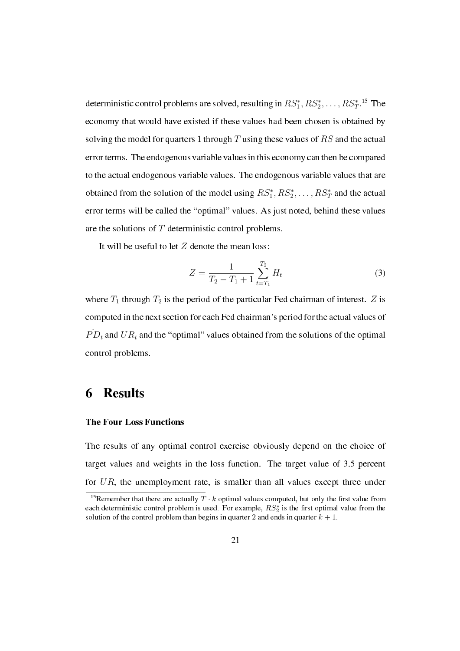deterministic control problems are solved, resulting in  $RS_1^*, RS_2^*, \ldots, RS_T^{*,15}$  The economy that would have existed if these values had been chosen is obtained by solving the model for quarters 1 through *T* using these values of *RS* and the actual error terms. The endogenous variable values in this economy can then be compared to the actual endogenous variable values. The endogenous variable values that are obtained from the solution of the model using  $RS_1^*, RS_2^*, \ldots, RS_T^*$  and the actual error terms will be called the "optimal" values. As just noted, behind these values are the solutions of *T* deterministic control problems.

It will be useful to let *Z* denote the mean loss:

$$
Z = \frac{1}{T_2 - T_1 + 1} \sum_{t=T_1}^{T_2} H_t
$$
 (3)

where  $T_1$  through  $T_2$  is the period of the particular Fed chairman of interest.  $Z$  is computed in the next section for each Fed chairman's period for the actual values of  $\dot{PD}_t$  and  $UR_t$  and the "optimal" values obtained from the solutions of the optimal control problems.

## 6 Results

### The Four Loss Functions

The results of any optimal control exercise obviously depend on the choice of target values and weights in the loss function. The target value of 3.5 percent for *UR*, the unemployment rate, is smaller than all values except three under

<sup>&</sup>lt;sup>15</sup>Remember that there are actually  $\overline{T} \cdot k$  optimal values computed, but only the first value from each deterministic control problem is used. For example,  $RS_2^*$  is the first optimal value from the solution of the control problem than begins in quarter 2 and ends in quarter  $k + 1$ .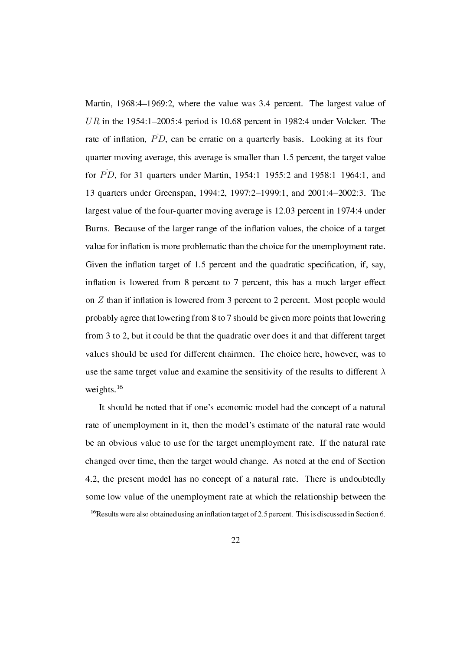Martin, 1968:4-1969:2, where the value was 3.4 percent. The largest value of  $UR$  in the 1954:1-2005:4 period is 10.68 percent in 1982:4 under Volcker. The rate of inflation,  $\dot{PD}$ , can be erratic on a quarterly basis. Looking at its fourquarter moving average, this average is smaller than 1.5 percent, the target value for  $\overline{PD}$ , for 31 quarters under Martin, 1954:1-1955:2 and 1958:1-1964:1, and 13 quarters under Greenspan, 1994:2, 1997:2-1999:1, and 2001:4-2002:3. The largest value of the four-quarter moving average is 12.03 percent in 1974:4 under Burns. Because of the larger range of the inflation values, the choice of a target value for inflation is more problematic than the choice for the unemployment rate. Given the inflation target of  $1.5$  percent and the quadratic specification, if, say, inflation is lowered from 8 percent to 7 percent, this has a much larger effect on  $Z$  than if inflation is lowered from 3 percent to 2 percent. Most people would probably agree that lowering from 8 to 7 should be given more points that lowering from 3 to 2, but it could be that the quadratic over does it and that different target values should be used for different chairmen. The choice here, however, was to use the same target value and examine the sensitivity of the results to different *λ* weights.<sup>16</sup>

It should be noted that if one's economic model had the concept of a natural rate of unemployment in it, then the model's estimate of the natural rate would be an obvious value to use for the target unemployment rate. If the natural rate changed over time, then the target would change. As noted at the end of Section 4.2, the present model has no concept of a natural rate. There is undoubtedly some low value of the unemployment rate at which the relationship between the

 $16$ Results were also obtained using an inflation target of 2.5 percent. This is discussed in Section 6.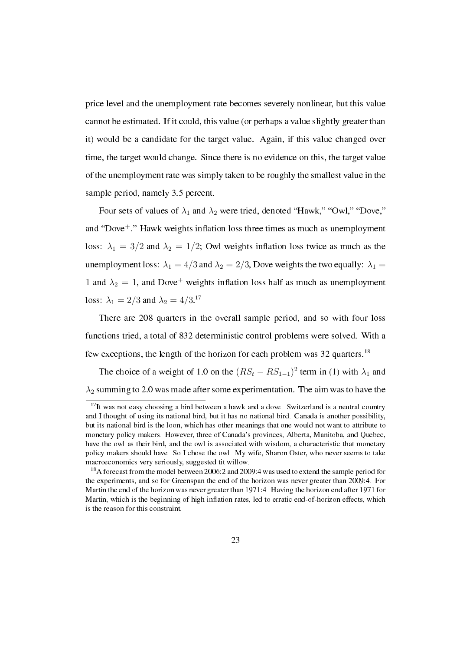price level and the unemployment rate becomes severely nonlinear, but this value cannot be estimated. If it could, this value (or perhaps a value slightly greater than it) would be a candidate for the target value. Again, if this value changed over time, the target would change. Since there is no evidence on this, the target value of the unemployment rate was simply taken to be roughly the smallest value in the sample period, namely 3.5 percent.

Four sets of values of  $\lambda_1$  and  $\lambda_2$  were tried, denoted "Hawk," "Owl," "Dove," and "Dove<sup>+</sup>." Hawk weights inflation loss three times as much as unemployment loss:  $\lambda_1 = 3/2$  and  $\lambda_2 = 1/2$ ; Owl weights inflation loss twice as much as the unemployment loss:  $\lambda_1 = 4/3$  and  $\lambda_2 = 2/3$ , Dove weights the two equally:  $\lambda_1 =$ 1 and  $\lambda_2 = 1$ , and Dove<sup>+</sup> weights inflation loss half as much as unemployment loss:  $\lambda_1 = 2/3$  and  $\lambda_2 = 4/3$ .<sup>17</sup>

There are 208 quarters in the overall sample period, and so with four loss functions tried, a total of 832 deterministic control problems were solved. With a few exceptions, the length of the horizon for each problem was  $32$  quarters.<sup>18</sup>

The choice of a weight of 1.0 on the  $(RS_t - RS_{1-1})^2$  term in (1) with  $\lambda_1$  and  $\lambda_2$  summing to 2.0 was made after some experimentation. The aim was to have the

 $17$ It was not easy choosing a bird between a hawk and a dove. Switzerland is a neutral country and I thought of using its national bird, but it has no national bird. Canada is another possibility, but its national bird is the loon, which has other meanings that one would not want to attribute to monetary policy makers. However, three of Canada's provinces, Alberta, Manitoba, and Quebec, have the owl as their bird, and the owl is associated with wisdom, a characteristic that monetary policy makers should have. So I chose the owl. My wife, Sharon Oster, who never seems to take macroeconomics very seriously, suggested tit willow.

<sup>&</sup>lt;sup>18</sup>A forecast from the model between 2006:2 and 2009:4 was used to extend the sample period for the experiments, and so for Greenspan the end of the horizon was never greater than 2009:4. For Martin the end of the horizon was never greater than 1971:4. Having the horizon end after 1971 for Martin, which is the beginning of high inflation rates, led to erratic end-of-horizon effects, which is the reason for this constraint.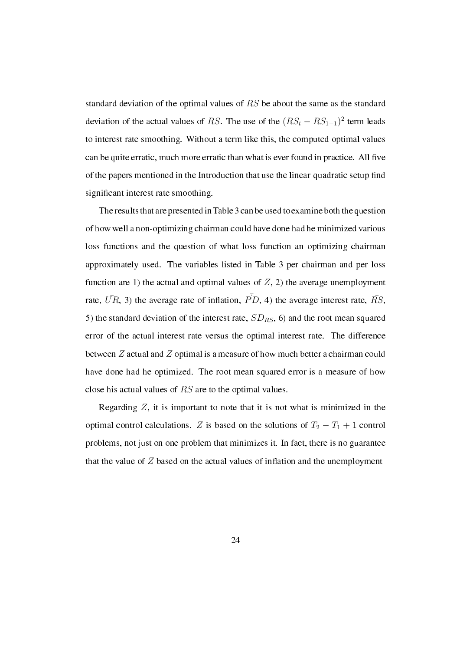standard deviation of the optimal values of *RS* be about the same as the standard deviation of the actual values of *RS*. The use of the  $(RS_t - RS_{1-1})^2$  term leads to interest rate smoothing. Without a term like this, the computed optimal values can be quite erratic, much more erratic than what is ever found in practice. All five of the papers mentioned in the Introduction that use the linear-quadratic setup find significant interest rate smoothing.

The results that are presented in Table 3 can be used to examine both the question of how well a non-optimizing chairman could have done had he minimized various loss functions and the question of what loss function an optimizing chairman approximately used. The variables listed in Table 3 per chairman and per loss function are 1) the actual and optimal values of  $Z$ , 2) the average unemployment rate,  $\bar{UR}$ , 3) the average rate of inflation,  $\bar{PD}$ , 4) the average interest rate,  $\bar{RS}$ , 5) the standard deviation of the interest rate, *SDRS*, 6) and the root mean squared error of the actual interest rate versus the optimal interest rate. The difference between *Z* actual and *Z* optimal is a measure of how much better a chairman could have done had he optimized. The root mean squared error is a measure of how close his actual values of *RS* are to the optimal values.

Regarding *Z*, it is important to note that it is not what is minimized in the optimal control calculations. *Z* is based on the solutions of  $T_2 - T_1 + 1$  control problems, not just on one problem that minimizes it. In fact, there is no guarantee that the value of  $Z$  based on the actual values of inflation and the unemployment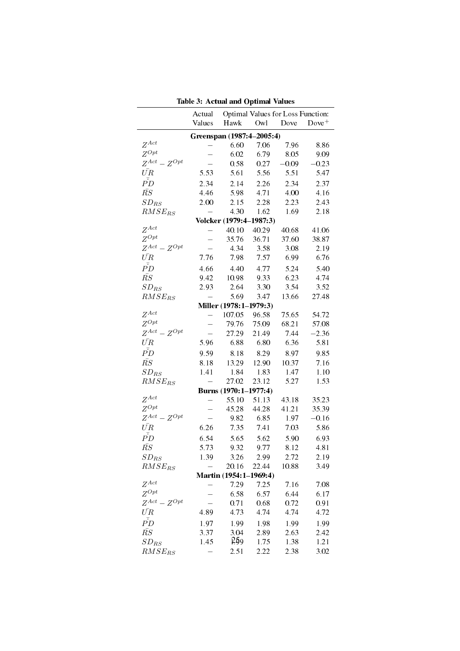| Table 3: Actual and Optimal Values |              |                           |              |                                   |              |
|------------------------------------|--------------|---------------------------|--------------|-----------------------------------|--------------|
|                                    | Actual       |                           |              | Optimal Values for Loss Function: |              |
|                                    | Values       | Hawk                      | Owl          | Dove                              | $Dove+$      |
|                                    |              | Greenspan (1987:4-2005:4) |              |                                   |              |
| $Z^{Act}$                          |              | 6.60                      | 7.06         | 7.96                              | 8.86         |
| $Z^{Opt}$                          |              | 6.02                      | 6.79         | 8.05                              | 9.09         |
| $Z^{Act} - Z^{Opt}$                |              | 0.58                      | 0.27         | $-0.09$                           | $-0.23$      |
| $\bar{UR}$                         | 5.53         | 5.61                      | 5.56         | 5.51                              | 5.47         |
| $\bar{\dot{PD}}$                   | 2.34         | 2.14                      | 2.26         | 2.34                              | 2.37         |
| $\bar{RS}$                         | 4.46         | 5.98                      | 4.71         | 4.00                              | 4.16         |
| $SD_{RS}$                          | 2.00         | 2.15                      | 2.28         | 2.23                              | 2.43         |
| $RMSE_{RS}$                        |              | 4.30                      | 1.62         | 1.69                              | 2.18         |
|                                    |              | Volcker (1979:4-1987:3)   |              |                                   |              |
| $Z^{Act}$                          |              | 40.10                     | 40.29        | 40.68                             | 41.06        |
| $Z^{Opt}$                          |              | 35.76                     | 36.71        | 37.60                             | 38.87        |
| $Z^{Act} - Z^{Opt}$                |              | 4.34                      | 3.58         | 3.08                              | 2.19         |
| $\bar{UR}$                         | 7.76         | 7.98                      | 7.57         | 6.99                              | 6.76         |
| $\overline{PD}$                    | 4.66         | 4.40                      | 4.77         | 5.24                              | 5.40         |
| $\bar{RS}$                         | 9.42         | 10.98                     | 9.33         | 6.23                              | 4.74         |
| $SD_{RS}$                          | 2.93         | 2.64                      | 3.30         | 3.54                              | 3.52         |
| $RMSE_{RS}$                        |              | 5.69                      | 3.47         | 13.66                             | 27.48        |
|                                    |              | Miller (1978:1-1979:3)    |              |                                   |              |
| $Z^{Act}$                          |              | 107.05                    | 96.58        | 75.65                             | 54.72        |
| $Z^{Opt}$                          |              | 79.76                     | 75.09        | 68.21                             | 57.08        |
| $Z^{Act} - Z^{Opt}$                |              | 27.29                     | 21.49        | 7.44                              | $-2.36$      |
| $\bar{UR}$                         | 5.96         | 6.88                      | 6.80         | 6.36                              | 5.81         |
| $\dot{PD}$                         | 9.59         | 8.18                      | 8.29         | 8.97                              | 9.85         |
| $\bar{RS}$                         | 8.18         | 13.29                     | 12.90        | 10.37                             | 7.16         |
| $SD_{RS}$                          | 1.41         | 1.84                      | 1.83         | 1.47                              | 1.10         |
| $RMSE_{RS}$                        |              | 27.02                     | 23.12        | 5.27                              | 1.53         |
|                                    |              | Burns (1970:1-1977:4)     |              |                                   |              |
| $Z^{Act}$                          |              | 55.10                     | 51.13        | 43.18                             | 35.23        |
| $Z^{Opt}$<br>$Z^{Act} - Z^{Opt}$   |              | 45.28                     | 44.28        | 41.21                             | 35.39        |
|                                    |              | 9.82                      | 6.85         | 1.97                              | $-0.16$      |
| $\bar{UR}$                         | 6.26         | 7.35                      | 7.41         | 7.03                              | 5.86         |
| $\bar{PD}$                         | 6.54         | 5.65                      | 5.62         | 5.90                              | 6.93         |
| $\bar{RS}$                         | 5.73         | 9.32                      | 9.77         | 8.12                              | 4.81         |
| $SD_{RS}$                          | 1.39         | 3.26                      | 2.99         | 2.72                              | 2.19         |
| $RMSE_{RS}$                        |              | 20.16                     | 22.44        | 10.88                             | 3.49         |
| $Z^{Act}$                          |              | Martin (1954:1-1969:4)    |              | 7.16                              |              |
| $Z^{Opt}$                          |              | 7.29<br>6.58              | 7.25<br>6.57 | 6.44                              | 7.08         |
| $Z^{Act} = Z^{Opt}$                |              | 0.71                      | 0.68         | 0.72                              | 6.17         |
| $\bar{UR}$                         | 4.89         | 4.73                      | 4.74         | 4.74                              | 0.91<br>4.72 |
| $\bar{PD}$                         |              |                           |              |                                   |              |
| $\bar{RS}$                         | 1.97<br>3.37 | 1.99                      | 1.98         | 1.99                              | 1.99         |
|                                    |              | 3.04<br>P59               | 2.89<br>1.75 | 2.63<br>1.38                      | 2.42<br>1.21 |
| $SD_{RS}$<br>$RMSE_{RS}$           | 1.45         | 2.51                      |              |                                   |              |
|                                    |              |                           | 2.22         | 2.38                              | 3.02         |

Table 3: Actual and Optimal Values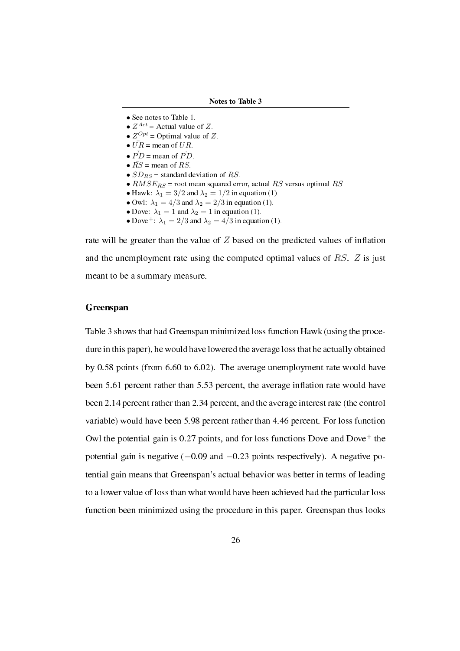#### Notes to Table 3

- *•* See notes to Table 1.
- $Z^{Act}$  = Actual value of *Z*.
- $Z^{Opt}$  = Optimal value of *Z*.
- $\overline{UR}$  = mean of  $\overline{UR}$ .
- $\overline{PD}$  = mean of  $\overline{PD}$ .
- $\overline{RS}$  = mean of *RS*.
- *• SDRS* = standard deviation of *RS*.
- *• RMSERS* = root mean squared error, actual *RS* versus optimal *RS*.
- Hawk:  $\lambda_1 = 3/2$  and  $\lambda_2 = 1/2$  in equation (1).
- Owl:  $\lambda_1 = 4/3$  and  $\lambda_2 = 2/3$  in equation (1).
- Dove:  $\lambda_1 = 1$  and  $\lambda_2 = 1$  in equation (1).
- Dove<sup>+</sup>:  $\lambda_1 = 2/3$  and  $\lambda_2 = 4/3$  in equation (1).

rate will be greater than the value of  $Z$  based on the predicted values of inflation and the unemployment rate using the computed optimal values of *RS*. *Z* is just meant to be a summary measure.

#### Greenspan

Table 3 shows that had Greenspan minimized loss function Hawk (using the procedure in this paper), he would have lowered the average loss that he actually obtained by 0.58 points (from 6.60 to 6.02). The average unemployment rate would have been 5.61 percent rather than 5.53 percent, the average inflation rate would have been 2.14 percent rather than 2.34 percent, and the average interest rate (the control variable) would have been 5.98 percent rather than 4.46 percent. For loss function Owl the potential gain is 0.27 points, and for loss functions Dove and Dove<sup>+</sup> the potential gain is negative (*−*0.09 and *−*0.23 points respectively). A negative potential gain means that Greenspan's actual behavior was better in terms of leading to a lower value of loss than what would have been achieved had the particular loss function been minimized using the procedure in this paper. Greenspan thus looks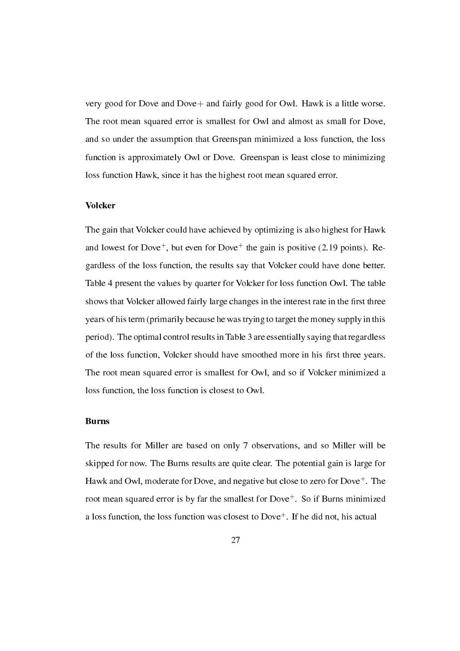very good for Dove and Dove+ and fairly good for Owl. Hawk is a little worse. The root mean squared error is smallest for Owl and almost as small for Dove, and so under the assumption that Greenspan minimized a loss function, the loss function is approximately Owl or Dove. Greenspan is least close to minimizing loss function Hawk, since it has the highest root mean squared error.

#### Volcker

The gain that Volcker could have achieved by optimizing is also highest for Hawk and lowest for Dove<sup>+</sup>, but even for Dove<sup>+</sup> the gain is positive  $(2.19 \text{ points})$ . Regardless of the loss function, the results say that Volcker could have done better. Table 4 present the values by quarter for Volcker for loss function Owl. The table shows that Volcker allowed fairly large changes in the interest rate in the first three years of his term (primarily because he was trying to target the money supply in this period). The optimal control results in Table 3 are essentially saying that regardless of the loss function, Volcker should have smoothed more in his first three years. The root mean squared error is smallest for Owl, and so if Volcker minimized a loss function, the loss function is closest to Owl.

#### Burns

The results for Miller are based on only 7 observations, and so Miller will be skipped for now. The Burns results are quite clear. The potential gain is large for Hawk and Owl, moderate for Dove, and negative but close to zero for Dove<sup>+</sup>. The root mean squared error is by far the smallest for Dove<sup>+</sup>. So if Burns minimized a loss function, the loss function was closest to  $Dove<sup>+</sup>$ . If he did not, his actual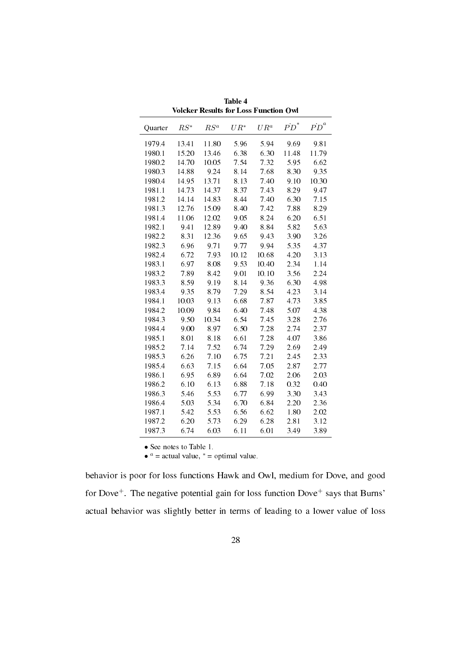| Quarter | $RS^\ast$ | $RS^a$ | $UR^*$ | $UR^a$ | $\dot{PD}^*$ | $\dot{PD}^a$ |
|---------|-----------|--------|--------|--------|--------------|--------------|
| 1979.4  | 13.41     | 11.80  | 5.96   | 5.94   | 9.69         | 9.81         |
| 1980.1  | 15.20     | 13.46  | 6.38   | 6.30   | 11.48        | 11.79        |
| 1980.2  | 14.70     | 10.05  | 7.54   | 7.32   | 5.95         | 6.62         |
| 1980.3  | 14.88     | 9.24   | 8.14   | 7.68   | 8.30         | 935          |
| 1980.4  | 14.95     | 13.71  | 8.13   | 7.40   | 9.10         | 10.30        |
| 1981.1  | 14.73     | 14.37  | 8.37   | 7.43   | 8.29         | 9.47         |
| 1981.2  | 14.14     | 14.83  | 8.44   | 7.40   | 6.30         | 7.15         |
| 1981.3  | 12.76     | 15.09  | 8.40   | 7.42   | 7.88         | 8.29         |
| 1981.4  | 11.06     | 12.02  | 9.05   | 8.24   | 6.20         | 6.51         |
| 1982.1  | 941       | 12.89  | 9.40   | 8.84   | 5.82         | 5.63         |
| 1982.2  | 8.31      | 12.36  | 9.65   | 9.43   | 3.90         | 3.26         |
| 1982.3  | 6.96      | 9.71   | 9.77   | 9.94   | 5.35         | 4.37         |
| 1982.4  | 6.72      | 7.93   | 10.12  | 10.68  | 4.20         | 3.13         |
| 1983.1  | 6.97      | 8.08   | 9.53   | 10.40  | 2.34         | 1.14         |
| 1983.2  | 7.89      | 8.42   | 9.01   | 10.10  | 3.56         | 2.24         |
| 1983.3  | 8.59      | 9.19   | 8.14   | 9.36   | 6.30         | 4.98         |
| 1983.4  | 9.35      | 8.79   | 7.29   | 8.54   | 4.23         | 3.14         |
| 1984 1  | 10.03     | 9.13   | 6.68   | 7.87   | 4.73         | 3.85         |
| 1984.2  | 10.09     | 9.84   | 6.40   | 7.48   | 5.07         | 4.38         |
| 1984.3  | 9.50      | 10.34  | 6.54   | 7.45   | 3.28         | 2.76         |
| 1984.4  | 9.00      | 8.97   | 6.50   | 7.28   | 2.74         | 2.37         |
| 1985.1  | 8.01      | 8.18   | 6.61   | 7.28   | 4.07         | 3.86         |
| 1985.2  | 7.14      | 7.52   | 6.74   | 7.29   | 2.69         | 2.49         |
| 1985.3  | 6.26      | 7.10   | 6.75   | 7.21   | 2.45         | 2.33         |
| 1985.4  | 6.63      | 7.15   | 6.64   | 7.05   | 2.87         | 2.77         |
| 1986.1  | 6.95      | 6.89   | 6.64   | 7.02   | 2.06         | 2.03         |
| 1986.2  | 6.10      | 6.13   | 6.88   | 7.18   | 0.32         | 0.40         |
| 1986.3  | 5.46      | 5.53   | 6.77   | 6.99   | 3.30         | 3.43         |
| 1986.4  | 5.03      | 5.34   | 6.70   | 6.84   | 2.20         | 2.36         |
| 1987.1  | 5.42      | 5.53   | 6.56   | 6.62   | 1.80         | 2.02         |
| 1987.2  | 6.20      | 5.73   | 6.29   | 6.28   | 2.81         | 3.12         |
| 1987.3  | 6.74      | 6.03   | 6.11   | 6.01   | 3.49         | 3.89         |

Table 4 Volcker Results for Loss Function Owl

*•* See notes to Table 1.

 $\bullet$  *a* = actual value,  $*$  = optimal value.

behavior is poor for loss functions Hawk and Owl, medium for Dove, and good for Dove<sup>+</sup>. The negative potential gain for loss function Dove<sup>+</sup> says that Burns' actual behavior was slightly better in terms of leading to a lower value of loss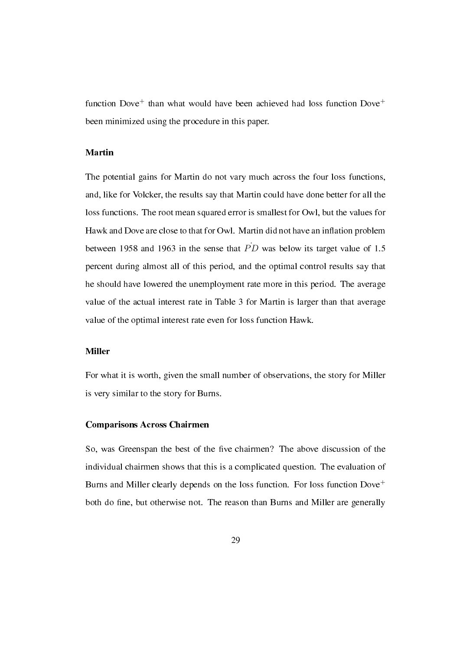function Dove<sup>+</sup> than what would have been achieved had loss function Dove<sup>+</sup> been minimized using the procedure in this paper.

### Martin

The potential gains for Martin do not vary much across the four loss functions, and, like for Volcker, the results say that Martin could have done better for all the loss functions. The root mean squared error is smallest for Owl, but the values for Hawk and Dove are close to that for Owl. Martin did not have an inflation problem between 1958 and 1963 in the sense that  $\overline{PD}$  was below its target value of 1.5 percent during almost all of this period, and the optimal control results say that he should have lowered the unemployment rate more in this period. The average value of the actual interest rate in Table 3 for Martin is larger than that average value of the optimal interest rate even for loss function Hawk.

### Miller

For what it is worth, given the small number of observations, the story for Miller is very similar to the story for Burns.

#### Comparisons Across Chairmen

So, was Greenspan the best of the five chairmen? The above discussion of the individual chairmen shows that this is a complicated question. The evaluation of Burns and Miller clearly depends on the loss function. For loss function Dove<sup>+</sup> both do fine, but otherwise not. The reason than Burns and Miller are generally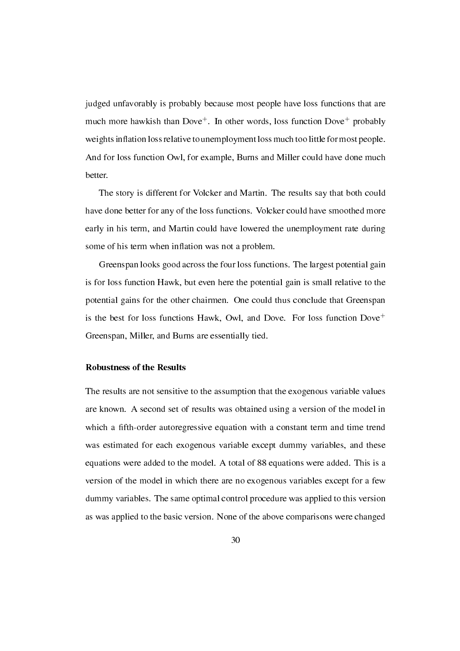judged unfavorably is probably because most people have loss functions that are much more hawkish than  $Dove^+$ . In other words, loss function  $Dove^+$  probably weights inflation loss relative to unemployment loss much too little for most people. And for loss function Owl, for example, Burns and Miller could have done much better.

The story is different for Volcker and Martin. The results say that both could have done better for any of the loss functions. Volcker could have smoothed more early in his term, and Martin could have lowered the unemployment rate during some of his term when inflation was not a problem.

Greenspan looks good across the four loss functions. The largest potential gain is for loss function Hawk, but even here the potential gain is small relative to the potential gains for the other chairmen. One could thus conclude that Greenspan is the best for loss functions Hawk, Owl, and Dove. For loss function Dove<sup>+</sup> Greenspan, Miller, and Burns are essentially tied.

#### Robustness of the Results

The results are not sensitive to the assumption that the exogenous variable values are known. A second set of results was obtained using a version of the model in which a fifth-order autoregressive equation with a constant term and time trend was estimated for each exogenous variable except dummy variables, and these equations were added to the model. A total of 88 equations were added. This is a version of the model in which there are no exogenous variables except for a few dummy variables. The same optimal control procedure was applied to this version as was applied to the basic version. None of the above comparisons were changed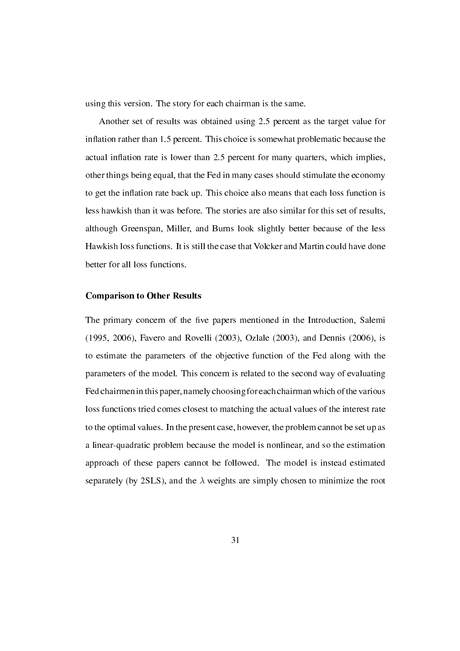using this version. The story for each chairman is the same.

Another set of results was obtained using 2.5 percent as the target value for inflation rather than  $1.5$  percent. This choice is somewhat problematic because the actual inflation rate is lower than 2.5 percent for many quarters, which implies, other things being equal, that the Fed in many cases should stimulate the economy to get the inflation rate back up. This choice also means that each loss function is less hawkish than it was before. The stories are also similar for this set of results, although Greenspan, Miller, and Burns look slightly better because of the less Hawkish loss functions. It is still the case that Volcker and Martin could have done better for all loss functions.

#### Comparison to Other Results

The primary concern of the five papers mentioned in the Introduction, Salemi (1995, 2006), Favero and Rovelli (2003), Ozlale (2003), and Dennis (2006), is to estimate the parameters of the objective function of the Fed along with the parameters of the model. This concern is related to the second way of evaluating Fed chairmen in this paper, namely choosing for each chairman which of the various loss functions tried comes closest to matching the actual values of the interest rate to the optimal values. In the present case, however, the problem cannot be set up as a linear-quadratic problem because the model is nonlinear, and so the estimation approach of these papers cannot be followed. The model is instead estimated separately (by 2SLS), and the  $\lambda$  weights are simply chosen to minimize the root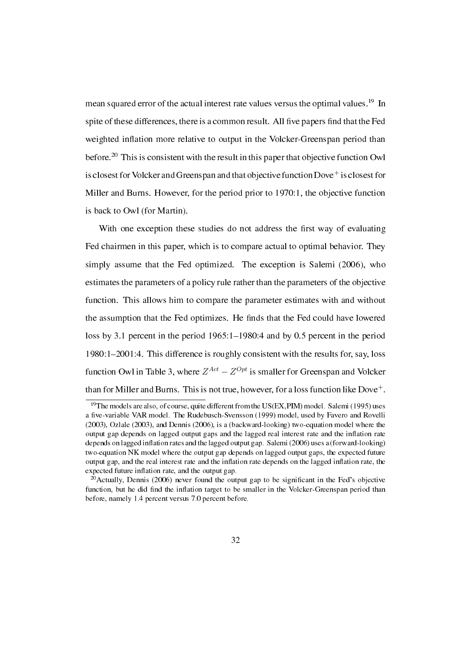mean squared error of the actual interest rate values versus the optimal values.<sup>19</sup> In spite of these differences, there is a common result. All five papers find that the Fed weighted inflation more relative to output in the Volcker-Greenspan period than before.<sup>20</sup> This is consistent with the result in this paper that objective function Owl is closest for Volcker and Greenspan and that objective function  $Dove^+$  is closest for Miller and Burns. However, for the period prior to 1970:1, the objective function is back to Owl (for Martin).

With one exception these studies do not address the first way of evaluating Fed chairmen in this paper, which is to compare actual to optimal behavior. They simply assume that the Fed optimized. The exception is Salemi (2006), who estimates the parameters of a policy rule rather than the parameters of the objective function. This allows him to compare the parameter estimates with and without the assumption that the Fed optimizes. He finds that the Fed could have lowered loss by 3.1 percent in the period  $1965:1-1980:4$  and by 0.5 percent in the period 1980:12001:4. This difference is roughly consistent with the results for, say, loss function Owl in Table 3, where  $Z^{Act} - Z^{Opt}$  is smaller for Greenspan and Volcker than for Miller and Burns. This is not true, however, for a loss function like  $Dove^+$ .

<sup>&</sup>lt;sup>19</sup>The models are also, of course, quite different from the US(EX, PIM) model. Salemi (1995) uses a five-variable VAR model. The Rudebusch-Svensson (1999) model, used by Favero and Rovelli (2003), Ozlale (2003), and Dennis (2006), is a (backward-looking) two-equation model where the output gap depends on lagged output gaps and the lagged real interest rate and the inflation rate depends on lagged inflation rates and the lagged output gap. Salemi  $(2006)$  uses a (forward-looking) two-equation NK model where the output gap depends on lagged output gaps, the expected future output gap, and the real interest rate and the inflation rate depends on the lagged inflation rate, the expected future inflation rate, and the output gap.

<sup>&</sup>lt;sup>20</sup>Actually, Dennis (2006) never found the output gap to be significant in the Fed's objective function, but he did find the inflation target to be smaller in the Volcker-Greenspan period than before, namely 1.4 percent versus 7.0 percent before.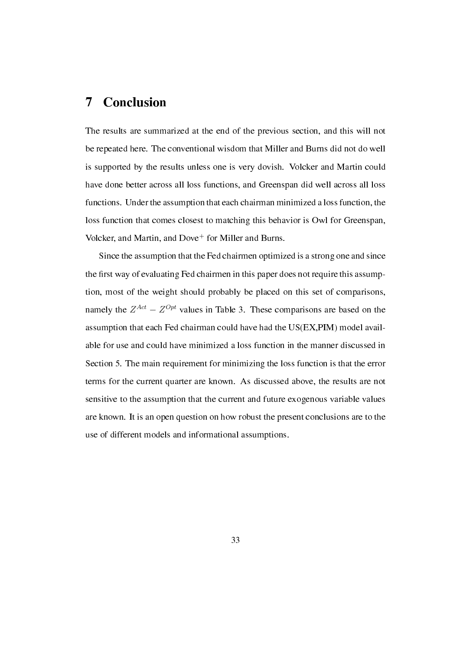# 7 Conclusion

The results are summarized at the end of the previous section, and this will not be repeated here. The conventional wisdom that Miller and Burns did not do well is supported by the results unless one is very dovish. Volcker and Martin could have done better across all loss functions, and Greenspan did well across all loss functions. Under the assumption that each chairman minimized a loss function, the loss function that comes closest to matching this behavior is Owl for Greenspan, Volcker, and Martin, and  $Dove<sup>+</sup>$  for Miller and Burns.

Since the assumption that the Fed chairmen optimized is a strong one and since the first way of evaluating Fed chairmen in this paper does not require this assumption, most of the weight should probably be placed on this set of comparisons, namely the  $Z^{Act} - Z^{Opt}$  values in Table 3. These comparisons are based on the assumption that each Fed chairman could have had the US(EX,PIM) model available for use and could have minimized a loss function in the manner discussed in Section 5. The main requirement for minimizing the loss function is that the error terms for the current quarter are known. As discussed above, the results are not sensitive to the assumption that the current and future exogenous variable values are known. It is an open question on how robust the present conclusions are to the use of different models and informational assumptions.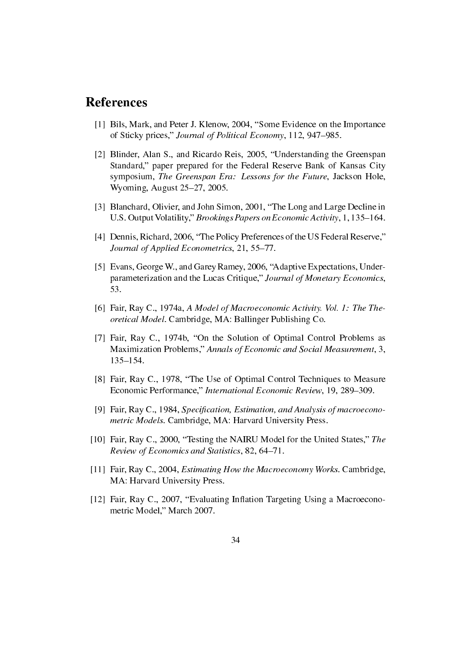## References

- [1] Bils, Mark, and Peter J. Klenow, 2004, "Some Evidence on the Importance of Sticky prices," Journal of Political Economy, 112, 947–985.
- [2] Blinder, Alan S., and Ricardo Reis, 2005, "Understanding the Greenspan Standard," paper prepared for the Federal Reserve Bank of Kansas City symposium, The Greenspan Era: Lessons for the Future, Jackson Hole, Wyoming, August 25–27, 2005.
- [3] Blanchard, Olivier, and John Simon, 2001, "The Long and Large Decline in U.S. Output Volatility," Brookings Papers on Economic Activity, 1, 135-164.
- [4] Dennis, Richard, 2006, "The Policy Preferences of the US Federal Reserve," Journal of Applied Econometrics, 21, 55-77.
- [5] Evans, George W., and Garey Ramey, 2006, "Adaptive Expectations, Underparameterization and the Lucas Critique," Journal of Monetary Economics, 53.
- [6] Fair, Ray C., 1974a, A Model of Macroeconomic Activity. Vol. 1: The Theoretical Model. Cambridge, MA: Ballinger Publishing Co.
- [7] Fair, Ray C., 1974b, "On the Solution of Optimal Control Problems as Maximization Problems," Annals of Economic and Social Measurement, 3, 135-154.
- [8] Fair, Ray C., 1978, "The Use of Optimal Control Techniques to Measure Economic Performance," International Economic Review, 19, 289-309.
- [9] Fair, Ray C., 1984, Specification, Estimation, and Analysis of macroeconometric Models. Cambridge, MA: Harvard University Press.
- [10] Fair, Ray C., 2000, "Testing the NAIRU Model for the United States," The Review of Economics and Statistics, 82, 64–71.
- [11] Fair, Ray C., 2004, *Estimating How the Macroeconomy Works*. Cambridge, MA: Harvard University Press.
- [12] Fair, Ray C., 2007, "Evaluating Inflation Targeting Using a Macroeconometric Model," March 2007.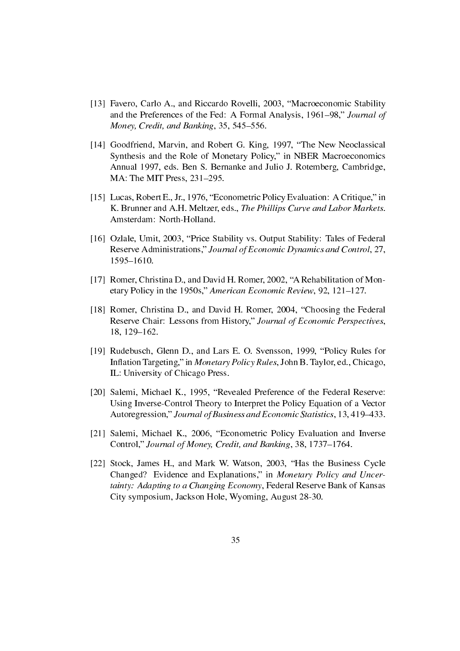- [13] Favero, Carlo A., and Riccardo Rovelli, 2003, "Macroeconomic Stability and the Preferences of the Fed: A Formal Analysis, 1961–98," Journal of Money, Credit, and Banking, 35, 545–556.
- [14] Goodfriend, Marvin, and Robert G. King, 1997, "The New Neoclassical Synthesis and the Role of Monetary Policy," in NBER Macroeconomics Annual 1997, eds. Ben S. Bernanke and Julio J. Rotemberg, Cambridge, MA: The MIT Press, 231-295.
- [15] Lucas, Robert E., Jr., 1976, "Econometric Policy Evaluation: A Critique," in K. Brunner and A.H. Meltzer, eds., The Phillips Curve and Labor Markets. Amsterdam: North-Holland.
- [16] Ozlale, Umit, 2003, "Price Stability vs. Output Stability: Tales of Federal Reserve Administrations," Journal of Economic Dynamics and Control, 27, 1595-1610.
- [17] Romer, Christina D., and David H. Romer, 2002, "A Rehabilitation of Monetary Policy in the 1950s," American Economic Review, 92, 121-127.
- [18] Romer, Christina D., and David H. Romer, 2004, "Choosing the Federal Reserve Chair: Lessons from History," Journal of Economic Perspectives, 18, 129-162.
- [19] Rudebusch, Glenn D., and Lars E. O. Svensson, 1999, "Policy Rules for Inflation Targeting," in Monetary Policy Rules, John B. Taylor, ed., Chicago, IL: University of Chicago Press.
- [20] Salemi, Michael K., 1995, "Revealed Preference of the Federal Reserve: Using Inverse-Control Theory to Interpret the Policy Equation of a Vector Autoregression," Journal of Business and Economic Statistics, 13, 419–433.
- [21] Salemi, Michael K., 2006, "Econometric Policy Evaluation and Inverse Control," Journal of Money, Credit, and Banking, 38, 1737-1764.
- [22] Stock, James H., and Mark W. Watson, 2003, "Has the Business Cycle Changed? Evidence and Explanations," in Monetary Policy and Uncertainty: Adapting to a Changing Economy, Federal Reserve Bank of Kansas City symposium, Jackson Hole, Wyoming, August 28-30.